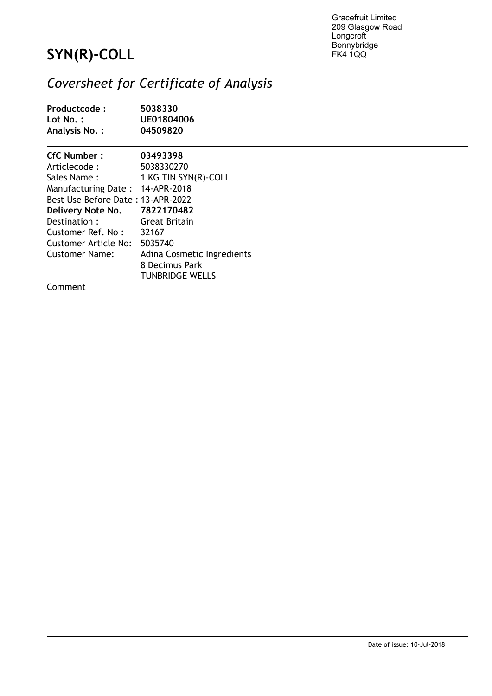Gracefruit Limited 209 Glasgow Road **Longcroft** Bonnybridge FK4 1QQ

## **SYN(R)-COLL**

## *Coversheet for Certificate of Analysis*

| Productcode:<br>Lot $No.$ :<br>Analysis No.: | 5038330<br>UE01804006<br>04509820 |  |  |
|----------------------------------------------|-----------------------------------|--|--|
| CfC Number:                                  | 03493398                          |  |  |
| Articlecode:                                 | 5038330270                        |  |  |
| Sales Name:                                  | 1 KG TIN SYN(R)-COLL              |  |  |
| Manufacturing Date: 14-APR-2018              |                                   |  |  |
| Best Use Before Date: 13-APR-2022            |                                   |  |  |
| Delivery Note No. 7822170482                 |                                   |  |  |
| Destination:                                 | Great Britain                     |  |  |
| Customer Ref. No: $32167$                    |                                   |  |  |
| Customer Article No:                         | 5035740                           |  |  |
| Customer Name:                               | Adina Cosmetic Ingredients        |  |  |
|                                              | 8 Decimus Park                    |  |  |
|                                              | <b>TUNBRIDGE WELLS</b>            |  |  |
| Comment                                      |                                   |  |  |